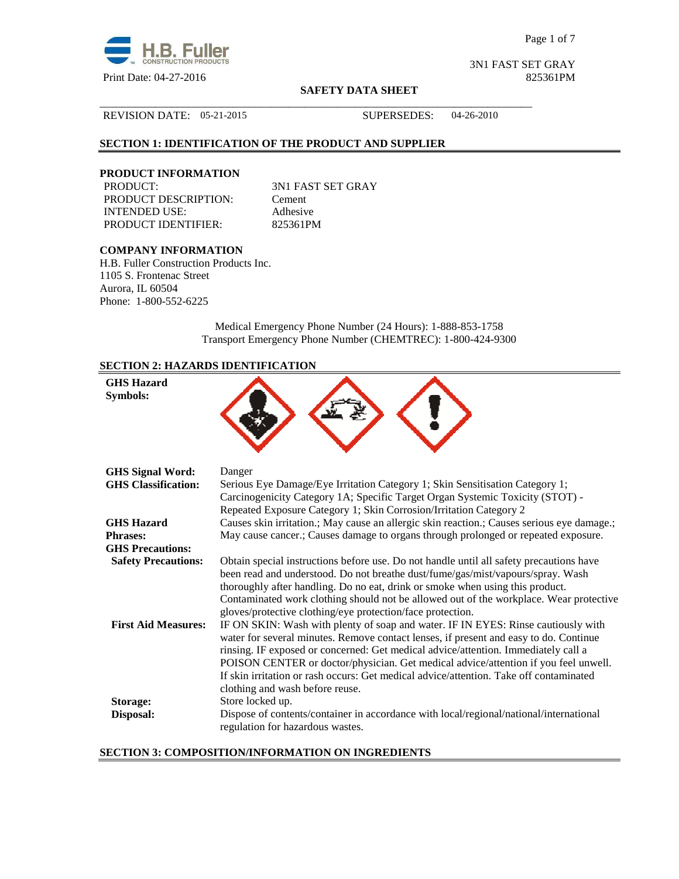

Page 1 of 7

3N1 FAST SET GRAY

#### **SAFETY DATA SHEET**

## REVISION DATE: 05-21-2015 SUPERSEDES: 04-26-2010

## **SECTION 1: IDENTIFICATION OF THE PRODUCT AND SUPPLIER**

# **PRODUCT INFORMATION**

PRODUCT DESCRIPTION: Cement INTENDED USE: Adhesive PRODUCT IDENTIFIER: 825361PM

3N1 FAST SET GRAY

\_\_\_\_\_\_\_\_\_\_\_\_\_\_\_\_\_\_\_\_\_\_\_\_\_\_\_\_\_\_\_\_\_\_\_\_\_\_\_\_\_\_\_\_\_\_\_\_\_\_\_\_\_\_\_\_\_\_\_\_\_\_\_\_\_\_\_\_\_\_\_\_\_\_\_\_\_\_

## **COMPANY INFORMATION**

H.B. Fuller Construction Products Inc. 1105 S. Frontenac Street Aurora, IL 60504 Phone: 1-800-552-6225

> Medical Emergency Phone Number (24 Hours): 1-888-853-1758 Transport Emergency Phone Number (CHEMTREC): 1-800-424-9300

## **SECTION 2: HAZARDS IDENTIFICATION**

| <b>GHS Hazard</b><br>Symbols: |                                                                                                                                                                                                                                                                                                                                                                                                                                                                                                                                                                                                                                                                                                                                                                                                                  |
|-------------------------------|------------------------------------------------------------------------------------------------------------------------------------------------------------------------------------------------------------------------------------------------------------------------------------------------------------------------------------------------------------------------------------------------------------------------------------------------------------------------------------------------------------------------------------------------------------------------------------------------------------------------------------------------------------------------------------------------------------------------------------------------------------------------------------------------------------------|
| <b>GHS Signal Word:</b>       | Danger                                                                                                                                                                                                                                                                                                                                                                                                                                                                                                                                                                                                                                                                                                                                                                                                           |
| <b>GHS</b> Classification:    | Serious Eye Damage/Eye Irritation Category 1; Skin Sensitisation Category 1;<br>Carcinogenicity Category 1A; Specific Target Organ Systemic Toxicity (STOT) -<br>Repeated Exposure Category 1; Skin Corrosion/Irritation Category 2                                                                                                                                                                                                                                                                                                                                                                                                                                                                                                                                                                              |
| <b>GHS</b> Hazard             | Causes skin irritation.; May cause an allergic skin reaction.; Causes serious eye damage.;                                                                                                                                                                                                                                                                                                                                                                                                                                                                                                                                                                                                                                                                                                                       |
| <b>Phrases:</b>               | May cause cancer.; Causes damage to organs through prolonged or repeated exposure.                                                                                                                                                                                                                                                                                                                                                                                                                                                                                                                                                                                                                                                                                                                               |
| <b>GHS Precautions:</b>       |                                                                                                                                                                                                                                                                                                                                                                                                                                                                                                                                                                                                                                                                                                                                                                                                                  |
| <b>Safety Precautions:</b>    | Obtain special instructions before use. Do not handle until all safety precautions have                                                                                                                                                                                                                                                                                                                                                                                                                                                                                                                                                                                                                                                                                                                          |
| <b>First Aid Measures:</b>    | been read and understood. Do not breathe dust/fume/gas/mist/vapours/spray. Wash<br>thoroughly after handling. Do no eat, drink or smoke when using this product.<br>Contaminated work clothing should not be allowed out of the workplace. Wear protective<br>gloves/protective clothing/eye protection/face protection.<br>IF ON SKIN: Wash with plenty of soap and water. IF IN EYES: Rinse cautiously with<br>water for several minutes. Remove contact lenses, if present and easy to do. Continue<br>rinsing. IF exposed or concerned: Get medical advice/attention. Immediately call a<br>POISON CENTER or doctor/physician. Get medical advice/attention if you feel unwell.<br>If skin irritation or rash occurs: Get medical advice/attention. Take off contaminated<br>clothing and wash before reuse. |
| <b>Storage:</b><br>Disposal:  | Store locked up.<br>Dispose of contents/container in accordance with local/regional/national/international                                                                                                                                                                                                                                                                                                                                                                                                                                                                                                                                                                                                                                                                                                       |
|                               | regulation for hazardous wastes.                                                                                                                                                                                                                                                                                                                                                                                                                                                                                                                                                                                                                                                                                                                                                                                 |

## **SECTION 3: COMPOSITION/INFORMATION ON INGREDIENTS**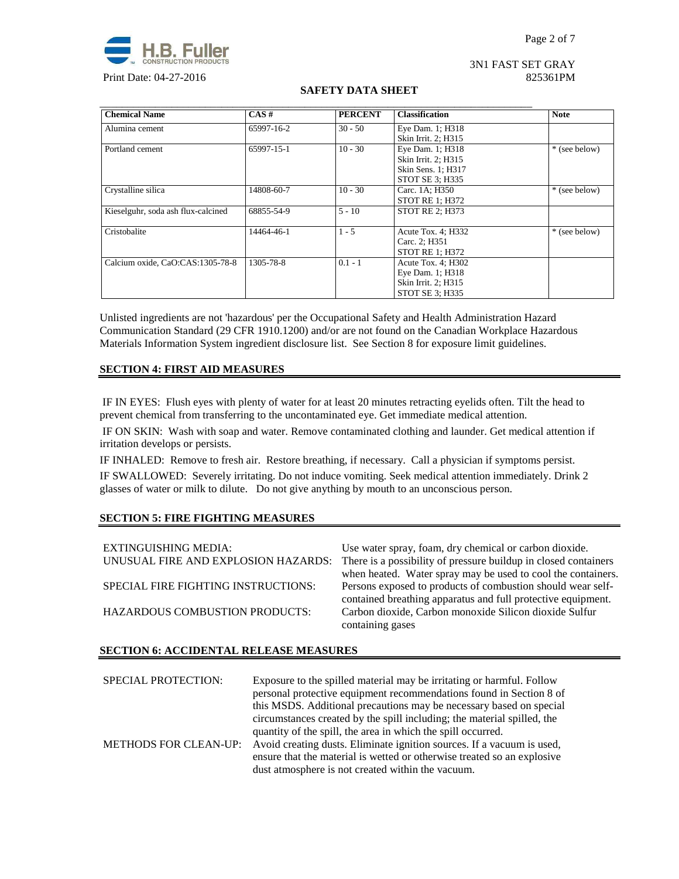

#### 3N1 FAST SET GRAY Print Date: 04-27-2016 825361PM

## **SAFETY DATA SHEET**

| <b>Chemical Name</b>               | CAS#       | <b>PERCENT</b> | <b>Classification</b>  | <b>Note</b>   |
|------------------------------------|------------|----------------|------------------------|---------------|
| Alumina cement                     | 65997-16-2 | $30 - 50$      | Eye Dam. 1; H318       |               |
|                                    |            |                | Skin Irrit. 2; H315    |               |
| Portland cement                    | 65997-15-1 | $10 - 30$      | Eye Dam. 1; H318       | * (see below) |
|                                    |            |                | Skin Irrit. 2; H315    |               |
|                                    |            |                | Skin Sens. 1; H317     |               |
|                                    |            |                | STOT SE 3; H335        |               |
| Crystalline silica                 | 14808-60-7 | $10 - 30$      | Carc. 1A: H350         | * (see below) |
|                                    |            |                | <b>STOT RE 1: H372</b> |               |
| Kieselguhr, soda ash flux-calcined | 68855-54-9 | $5 - 10$       | <b>STOT RE 2: H373</b> |               |
| Cristobalite                       | 14464-46-1 | $1 - 5$        | Acute Tox. 4; H332     | * (see below) |
|                                    |            |                | Carc. 2; H351          |               |
|                                    |            |                | <b>STOT RE 1: H372</b> |               |
| Calcium oxide, CaO:CAS:1305-78-8   | 1305-78-8  | $0.1 - 1$      | Acute Tox. 4; H302     |               |
|                                    |            |                | Eye Dam. 1; H318       |               |
|                                    |            |                | Skin Irrit. 2; H315    |               |
|                                    |            |                | STOT SE 3: H335        |               |

Unlisted ingredients are not 'hazardous' per the Occupational Safety and Health Administration Hazard Communication Standard (29 CFR 1910.1200) and/or are not found on the Canadian Workplace Hazardous Materials Information System ingredient disclosure list. See Section 8 for exposure limit guidelines.

## **SECTION 4: FIRST AID MEASURES**

 IF IN EYES: Flush eyes with plenty of water for at least 20 minutes retracting eyelids often. Tilt the head to prevent chemical from transferring to the uncontaminated eye. Get immediate medical attention.

 IF ON SKIN: Wash with soap and water. Remove contaminated clothing and launder. Get medical attention if irritation develops or persists.

IF INHALED: Remove to fresh air. Restore breathing, if necessary. Call a physician if symptoms persist. IF SWALLOWED:Severely irritating. Do not induce vomiting. Seek medical attention immediately. Drink 2 glasses of water or milk to dilute. Do not give anything by mouth to an unconscious person.

## **SECTION 5: FIRE FIGHTING MEASURES**

| EXTINGUISHING MEDIA:<br>UNUSUAL FIRE AND EXPLOSION HAZARDS: | Use water spray, foam, dry chemical or carbon dioxide.<br>There is a possibility of pressure buildup in closed containers                                                                   |
|-------------------------------------------------------------|---------------------------------------------------------------------------------------------------------------------------------------------------------------------------------------------|
| SPECIAL FIRE FIGHTING INSTRUCTIONS:                         | when heated. Water spray may be used to cool the containers.<br>Persons exposed to products of combustion should wear self-<br>contained breathing apparatus and full protective equipment. |
| HAZARDOUS COMBUSTION PRODUCTS:                              | Carbon dioxide, Carbon monoxide Silicon dioxide Sulfur<br>containing gases                                                                                                                  |

## **SECTION 6: ACCIDENTAL RELEASE MEASURES**

| <b>SPECIAL PROTECTION:</b> | Exposure to the spilled material may be irritating or harmful. Follow<br>personal protective equipment recommendations found in Section 8 of<br>this MSDS. Additional precautions may be necessary based on special<br>circumstances created by the spill including; the material spilled, the |
|----------------------------|------------------------------------------------------------------------------------------------------------------------------------------------------------------------------------------------------------------------------------------------------------------------------------------------|
| METHODS FOR CLEAN-UP:      | quantity of the spill, the area in which the spill occurred.<br>Avoid creating dusts. Eliminate ignition sources. If a vacuum is used,<br>ensure that the material is wetted or otherwise treated so an explosive<br>dust atmosphere is not created within the vacuum.                         |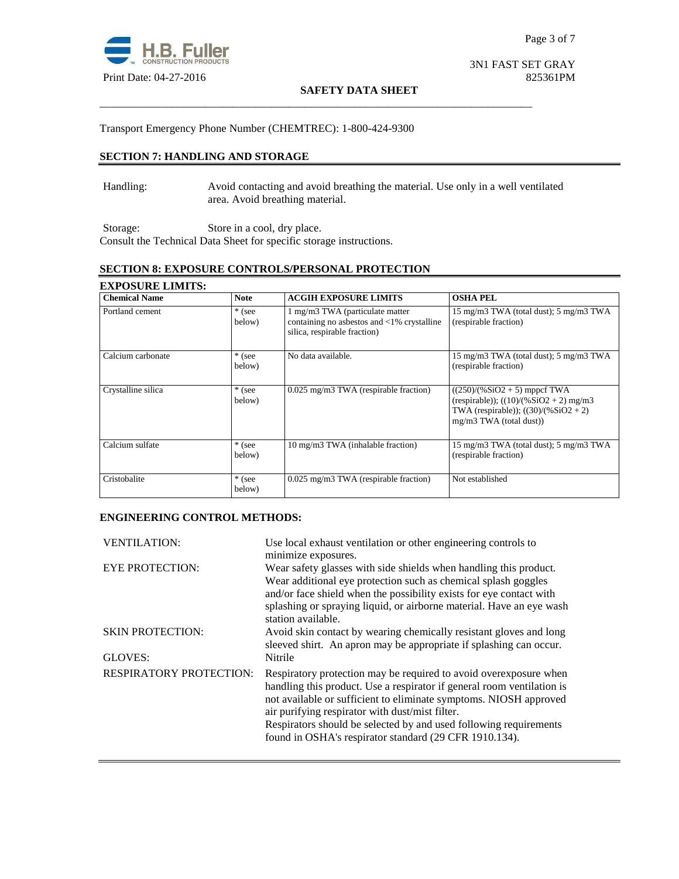

#### **SAFETY DATA SHEET**

## Transport Emergency Phone Number (CHEMTREC): 1-800-424-9300

## **SECTION 7: HANDLING AND STORAGE**

Handling: Avoid contacting and avoid breathing the material. Use only in a well ventilated area. Avoid breathing material.

\_\_\_\_\_\_\_\_\_\_\_\_\_\_\_\_\_\_\_\_\_\_\_\_\_\_\_\_\_\_\_\_\_\_\_\_\_\_\_\_\_\_\_\_\_\_\_\_\_\_\_\_\_\_\_\_\_\_\_\_\_\_\_\_\_\_\_\_\_\_\_\_\_\_\_\_\_\_

Storage: Store in a cool, dry place. Consult the Technical Data Sheet for specific storage instructions.

## **SECTION 8: EXPOSURE CONTROLS/PERSONAL PROTECTION**

| <b>EXPOSURE LIMITS:</b> |                    |                                                                                                                         |                                                                                                                                                    |
|-------------------------|--------------------|-------------------------------------------------------------------------------------------------------------------------|----------------------------------------------------------------------------------------------------------------------------------------------------|
| <b>Chemical Name</b>    | <b>Note</b>        | <b>ACGIH EXPOSURE LIMITS</b>                                                                                            | <b>OSHA PEL</b>                                                                                                                                    |
| Portland cement         | $*$ (see<br>below) | 1 mg/m3 TWA (particulate matter<br>containing no asbestos and $\langle 1\%$ crystalline<br>silica, respirable fraction) | 15 mg/m3 TWA (total dust); 5 mg/m3 TWA<br>(respirable fraction)                                                                                    |
| Calcium carbonate       | $*$ (see<br>below) | No data available.                                                                                                      | 15 mg/m3 TWA (total dust); 5 mg/m3 TWA<br>(respirable fraction)                                                                                    |
| Crystalline silica      | * (see<br>below)   | 0.025 mg/m3 TWA (respirable fraction)                                                                                   | $((250)/(%SiO2 + 5)$ mppcf TWA<br>(respirable)); $((10)/(%SiO2 + 2)$ mg/m3<br>TWA (respirable)); $((30)/(%SiO2 + 2))$<br>$mg/m3$ TWA (total dust)) |
| Calcium sulfate         | $*$ (see<br>below) | 10 mg/m3 TWA (inhalable fraction)                                                                                       | 15 mg/m3 TWA (total dust); 5 mg/m3 TWA<br>(respirable fraction)                                                                                    |
| Cristobalite            | * (see<br>below)   | 0.025 mg/m3 TWA (respirable fraction)                                                                                   | Not established                                                                                                                                    |

#### **ENGINEERING CONTROL METHODS:**

| <b>VENTILATION:</b>     | Use local exhaust ventilation or other engineering controls to<br>minimize exposures.                                                                                                                                                                                                                                                                                                               |
|-------------------------|-----------------------------------------------------------------------------------------------------------------------------------------------------------------------------------------------------------------------------------------------------------------------------------------------------------------------------------------------------------------------------------------------------|
| <b>EYE PROTECTION:</b>  | Wear safety glasses with side shields when handling this product.<br>Wear additional eye protection such as chemical splash goggles<br>and/or face shield when the possibility exists for eye contact with<br>splashing or spraying liquid, or airborne material. Have an eye wash<br>station available.                                                                                            |
| <b>SKIN PROTECTION:</b> | Avoid skin contact by wearing chemically resistant gloves and long<br>sleeved shirt. An apron may be appropriate if splashing can occur.                                                                                                                                                                                                                                                            |
| GLOVES:                 | Nitrile                                                                                                                                                                                                                                                                                                                                                                                             |
| RESPIRATORY PROTECTION: | Respiratory protection may be required to avoid over exposure when<br>handling this product. Use a respirator if general room ventilation is<br>not available or sufficient to eliminate symptoms. NIOSH approved<br>air purifying respirator with dust/mist filter.<br>Respirators should be selected by and used following requirements<br>found in OSHA's respirator standard (29 CFR 1910.134). |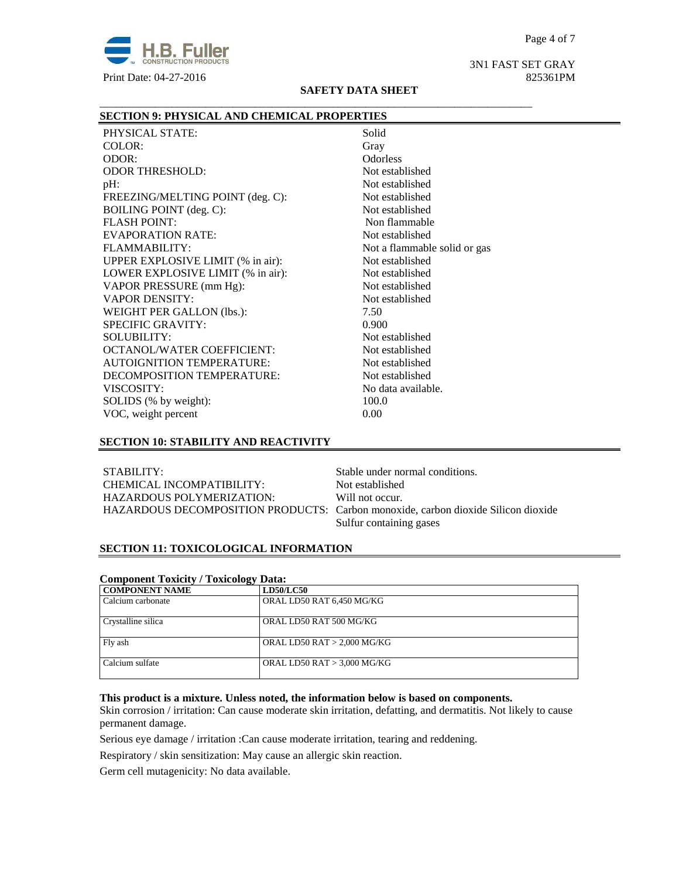

3N1 FAST SET GRAY

#### **SAFETY DATA SHEET**

\_\_\_\_\_\_\_\_\_\_\_\_\_\_\_\_\_\_\_\_\_\_\_\_\_\_\_\_\_\_\_\_\_\_\_\_\_\_\_\_\_\_\_\_\_\_\_\_\_\_\_\_\_\_\_\_\_\_\_\_\_\_\_\_\_\_\_\_\_\_\_\_\_\_\_\_\_\_

#### **SECTION 9: PHYSICAL AND CHEMICAL PROPERTIES**

PHYSICAL STATE: Solid COLOR: Gray ODOR: Odorless ODOR THRESHOLD: Not established pH: Not established FREEZING/MELTING POINT (deg. C): Not established BOILING POINT (deg. C): Not established FLASH POINT: Non flammable EVAPORATION RATE: Not established FLAMMABILITY: Not a flammable solid or gas UPPER EXPLOSIVE LIMIT (% in air): Not established LOWER EXPLOSIVE LIMIT (% in air): Not established VAPOR PRESSURE (mm Hg): Not established VAPOR DENSITY: Not established WEIGHT PER GALLON (lbs.): 7.50 SPECIFIC GRAVITY: 0.900 SOLUBILITY: Not established OCTANOL/WATER COEFFICIENT: Not established AUTOIGNITION TEMPERATURE: Not established DECOMPOSITION TEMPERATURE: Not established VISCOSITY: No data available. SOLIDS (% by weight): 100.0 VOC, weight percent 0.00

#### **SECTION 10: STABILITY AND REACTIVITY**

STABILITY: Stable under normal conditions. CHEMICAL INCOMPATIBILITY: Not established HAZARDOUS POLYMERIZATION: Will not occur.

HAZARDOUS DECOMPOSITION PRODUCTS: Carbon monoxide, carbon dioxide Silicon dioxide Sulfur containing gases

## **SECTION 11: TOXICOLOGICAL INFORMATION**

| Component Toxicity / Toxicology Data: |                               |  |
|---------------------------------------|-------------------------------|--|
| <b>COMPONENT NAME</b>                 | <b>LD50/LC50</b>              |  |
| Calcium carbonate                     | ORAL LD50 RAT 6,450 MG/KG     |  |
| Crystalline silica                    | ORAL LD50 RAT 500 MG/KG       |  |
| Fly ash                               | ORAL LD50 RAT $> 2,000$ MG/KG |  |
| Calcium sulfate                       | ORAL LD50 RAT $> 3,000$ MG/KG |  |

## **Component Toxicity / Toxicology Data:**

## **This product is a mixture. Unless noted, the information below is based on components.**

Skin corrosion / irritation: Can cause moderate skin irritation, defatting, and dermatitis. Not likely to cause permanent damage.

Serious eye damage / irritation :Can cause moderate irritation, tearing and reddening.

Respiratory / skin sensitization: May cause an allergic skin reaction.

Germ cell mutagenicity: No data available.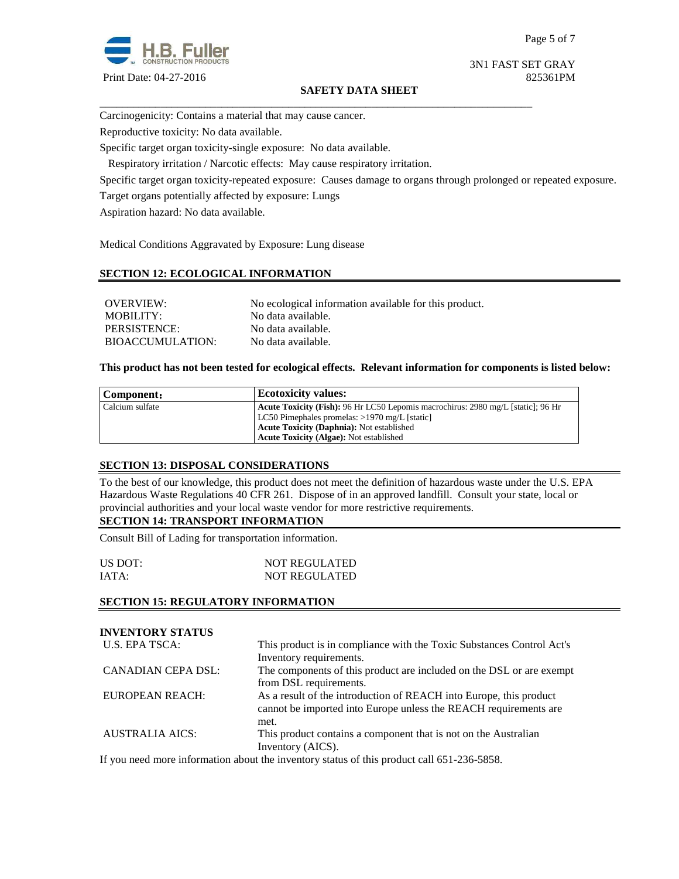

3N1 FAST SET GRAY

#### **SAFETY DATA SHEET**

\_\_\_\_\_\_\_\_\_\_\_\_\_\_\_\_\_\_\_\_\_\_\_\_\_\_\_\_\_\_\_\_\_\_\_\_\_\_\_\_\_\_\_\_\_\_\_\_\_\_\_\_\_\_\_\_\_\_\_\_\_\_\_\_\_\_\_\_\_\_\_\_\_\_\_\_\_\_

Carcinogenicity: Contains a material that may cause cancer.

Reproductive toxicity: No data available.

Specific target organ toxicity-single exposure:No data available.

Respiratory irritation / Narcotic effects: May cause respiratory irritation.

Specific target organ toxicity-repeated exposure:Causes damage to organs through prolonged or repeated exposure.

Target organs potentially affected by exposure: Lungs

Aspiration hazard: No data available.

Medical Conditions Aggravated by Exposure: Lung disease

## **SECTION 12: ECOLOGICAL INFORMATION**

| OVERVIEW:               | No ecological information available for this product. |
|-------------------------|-------------------------------------------------------|
| MOBILITY:               | No data available.                                    |
| PERSISTENCE:            | No data available.                                    |
| <b>BIOACCUMULATION:</b> | No data available.                                    |

#### **This product has not been tested for ecological effects. Relevant information for components is listed below:**

| Component:      | <b>Ecotoxicity values:</b>                                                              |
|-----------------|-----------------------------------------------------------------------------------------|
| Calcium sulfate | <b>Acute Toxicity (Fish):</b> 96 Hr LC50 Lepomis macrochirus: 2980 mg/L [static]: 96 Hr |
|                 | LC50 Pimephales promelas: >1970 mg/L [static]                                           |
|                 | <b>Acute Toxicity (Daphnia):</b> Not established                                        |
|                 | <b>Acute Toxicity (Algae): Not established</b>                                          |

#### **SECTION 13: DISPOSAL CONSIDERATIONS**

To the best of our knowledge, this product does not meet the definition of hazardous waste under the U.S. EPA Hazardous Waste Regulations 40 CFR 261. Dispose of in an approved landfill. Consult your state, local or provincial authorities and your local waste vendor for more restrictive requirements.

#### **SECTION 14: TRANSPORT INFORMATION**

Consult Bill of Lading for transportation information.

| US DOT: | <b>NOT REGULATED</b> |
|---------|----------------------|
| IATA:   | <b>NOT REGULATED</b> |

#### **SECTION 15: REGULATORY INFORMATION**

| <b>INVENTORY STATUS</b> |                                                                                                                                                |
|-------------------------|------------------------------------------------------------------------------------------------------------------------------------------------|
| U.S. EPA TSCA:          | This product is in compliance with the Toxic Substances Control Act's<br>Inventory requirements.                                               |
| CANADIAN CEPA DSL:      | The components of this product are included on the DSL or are exempt<br>from DSL requirements.                                                 |
| <b>EUROPEAN REACH:</b>  | As a result of the introduction of REACH into Europe, this product<br>cannot be imported into Europe unless the REACH requirements are<br>met. |
| <b>AUSTRALIA AICS:</b>  | This product contains a component that is not on the Australian<br>Inventory (AICS).                                                           |

If you need more information about the inventory status of this product call 651-236-5858.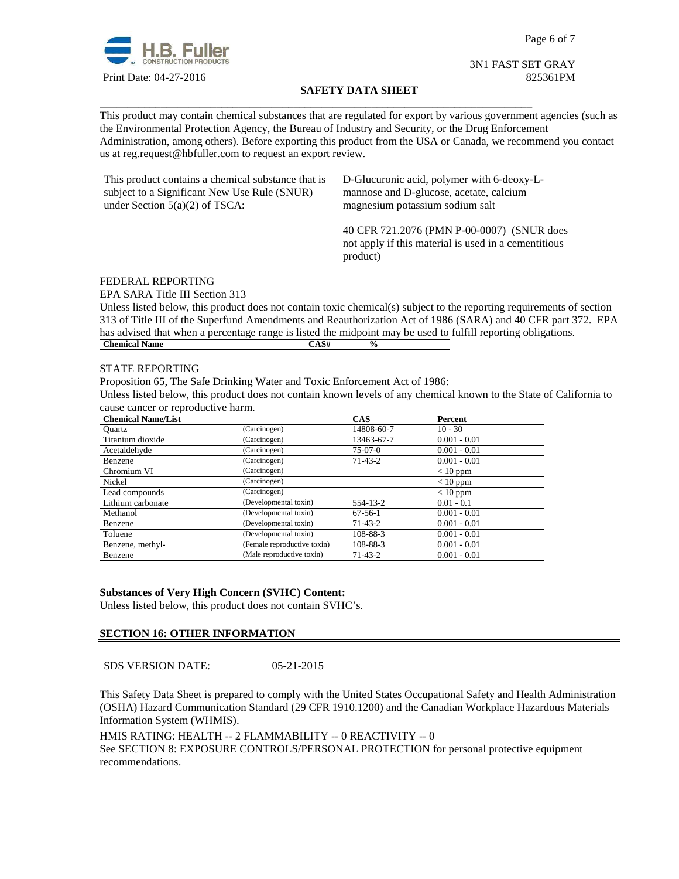

Page 6 of 7

#### 3N1 FAST SET GRAY Print Date: 04-27-2016 825361PM

#### **SAFETY DATA SHEET**

\_\_\_\_\_\_\_\_\_\_\_\_\_\_\_\_\_\_\_\_\_\_\_\_\_\_\_\_\_\_\_\_\_\_\_\_\_\_\_\_\_\_\_\_\_\_\_\_\_\_\_\_\_\_\_\_\_\_\_\_\_\_\_\_\_\_\_\_\_\_\_\_\_\_\_\_\_\_ This product may contain chemical substances that are regulated for export by various government agencies (such as the Environmental Protection Agency, the Bureau of Industry and Security, or the Drug Enforcement Administration, among others). Before exporting this product from the USA or Canada, we recommend you contact us at reg.request@hbfuller.com to request an export review.

| This product contains a chemical substance that is | D-Glucuronic acid, polymer with 6-deoxy-L-                                                                     |
|----------------------------------------------------|----------------------------------------------------------------------------------------------------------------|
| subject to a Significant New Use Rule (SNUR)       | mannose and D-glucose, acetate, calcium                                                                        |
| under Section $5(a)(2)$ of TSCA:                   | magnesium potassium sodium salt                                                                                |
|                                                    | 40 CFR 721.2076 (PMN P-00-0007) (SNUR does<br>not apply if this material is used in a cementitious<br>product) |

#### FEDERAL REPORTING

EPA SARA Title III Section 313

Unless listed below, this product does not contain toxic chemical(s) subject to the reporting requirements of section 313 of Title III of the Superfund Amendments and Reauthorization Act of 1986 (SARA) and 40 CFR part 372. EPA has advised that when a percentage range is listed the midpoint may be used to fulfill reporting obligations.<br>
Chemical Name **Chemical Name** 

#### STATE REPORTING

Proposition 65, The Safe Drinking Water and Toxic Enforcement Act of 1986:

Unless listed below, this product does not contain known levels of any chemical known to the State of California to cause cancer or reproductive harm.

| <b>Chemical Name/List</b> |                             | CAS           | Percent        |
|---------------------------|-----------------------------|---------------|----------------|
| <b>Ouartz</b>             | (Carcinogen)                | 14808-60-7    | $10 - 30$      |
| Titanium dioxide          | (Carcinogen)                | 13463-67-7    | $0.001 - 0.01$ |
| Acetaldehyde              | (Carcinogen)                | $75-07-0$     | $0.001 - 0.01$ |
| Benzene                   | (Carcinogen)                | $71-43-2$     | $0.001 - 0.01$ |
| Chromium VI               | (Carcinogen)                |               | $< 10$ ppm     |
| Nickel                    | (Carcinogen)                |               | $< 10$ ppm     |
| Lead compounds            | (Carcinogen)                |               | $< 10$ ppm     |
| Lithium carbonate         | (Developmental toxin)       | 554-13-2      | $0.01 - 0.1$   |
| Methanol                  | (Developmental toxin)       | $67-56-1$     | $0.001 - 0.01$ |
| Benzene                   | (Developmental toxin)       | $71 - 43 - 2$ | $0.001 - 0.01$ |
| Toluene                   | (Developmental toxin)       | 108-88-3      | $0.001 - 0.01$ |
| Benzene, methyl-          | (Female reproductive toxin) | 108-88-3      | $0.001 - 0.01$ |
| Benzene                   | (Male reproductive toxin)   | $71-43-2$     | $0.001 - 0.01$ |

#### **Substances of Very High Concern (SVHC) Content:**

Unless listed below, this product does not contain SVHC's.

#### **SECTION 16: OTHER INFORMATION**

SDS VERSION DATE: 05-21-2015

This Safety Data Sheet is prepared to comply with the United States Occupational Safety and Health Administration (OSHA) Hazard Communication Standard (29 CFR 1910.1200) and the Canadian Workplace Hazardous Materials Information System (WHMIS).

HMIS RATING: HEALTH -- 2 FLAMMABILITY -- 0 REACTIVITY -- 0 See SECTION 8: EXPOSURE CONTROLS/PERSONAL PROTECTION for personal protective equipment recommendations.